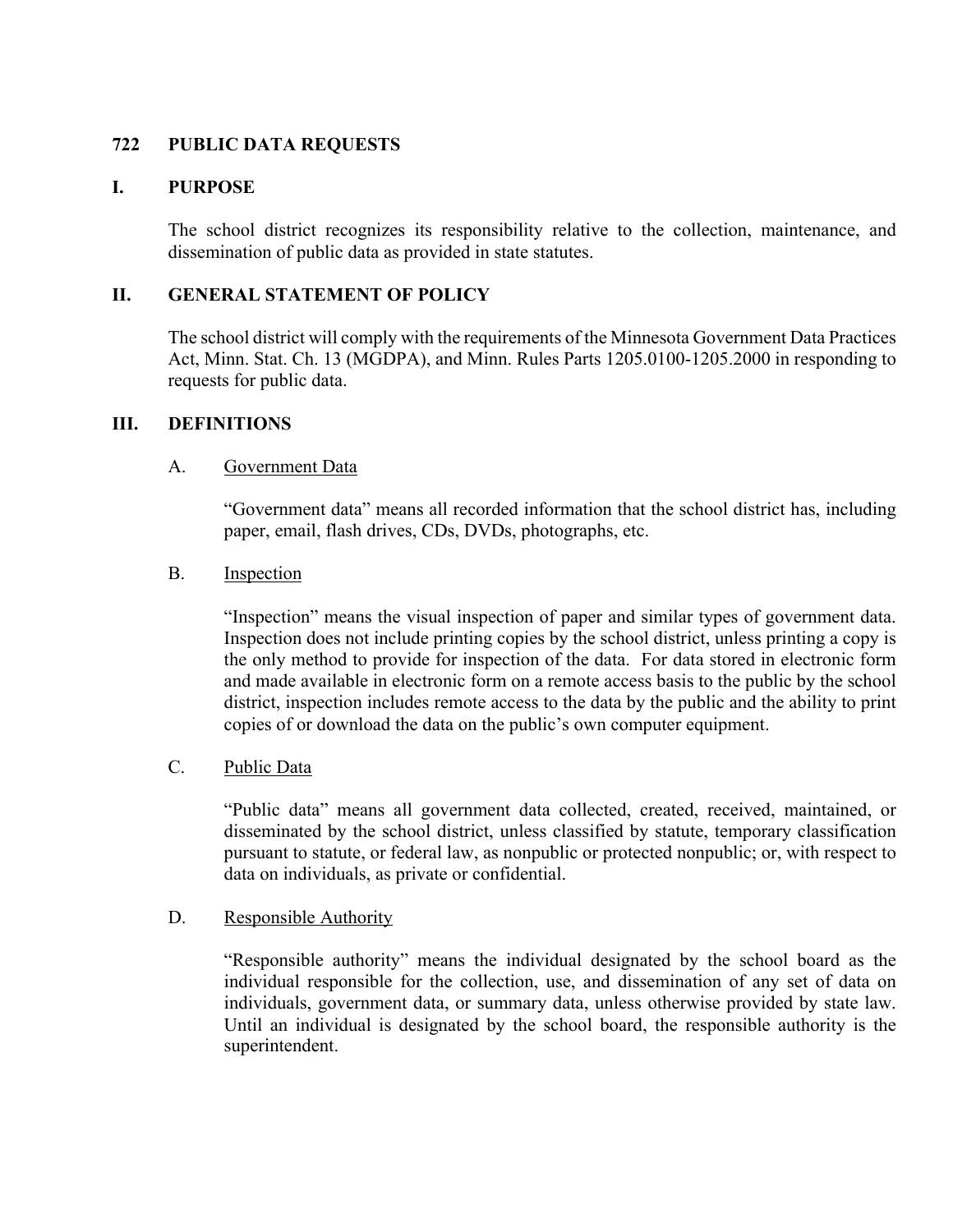# **722 PUBLIC DATA REQUESTS**

# **I. PURPOSE**

The school district recognizes its responsibility relative to the collection, maintenance, and dissemination of public data as provided in state statutes.

# **II. GENERAL STATEMENT OF POLICY**

The school district will comply with the requirements of the Minnesota Government Data Practices Act, Minn. Stat. Ch. 13 (MGDPA), and Minn. Rules Parts 1205.0100-1205.2000 in responding to requests for public data.

#### **III. DEFINITIONS**

#### A. Government Data

"Government data" means all recorded information that the school district has, including paper, email, flash drives, CDs, DVDs, photographs, etc.

#### B. Inspection

"Inspection" means the visual inspection of paper and similar types of government data. Inspection does not include printing copies by the school district, unless printing a copy is the only method to provide for inspection of the data. For data stored in electronic form and made available in electronic form on a remote access basis to the public by the school district, inspection includes remote access to the data by the public and the ability to print copies of or download the data on the public's own computer equipment.

#### C. Public Data

"Public data" means all government data collected, created, received, maintained, or disseminated by the school district, unless classified by statute, temporary classification pursuant to statute, or federal law, as nonpublic or protected nonpublic; or, with respect to data on individuals, as private or confidential.

#### D. Responsible Authority

"Responsible authority" means the individual designated by the school board as the individual responsible for the collection, use, and dissemination of any set of data on individuals, government data, or summary data, unless otherwise provided by state law. Until an individual is designated by the school board, the responsible authority is the superintendent.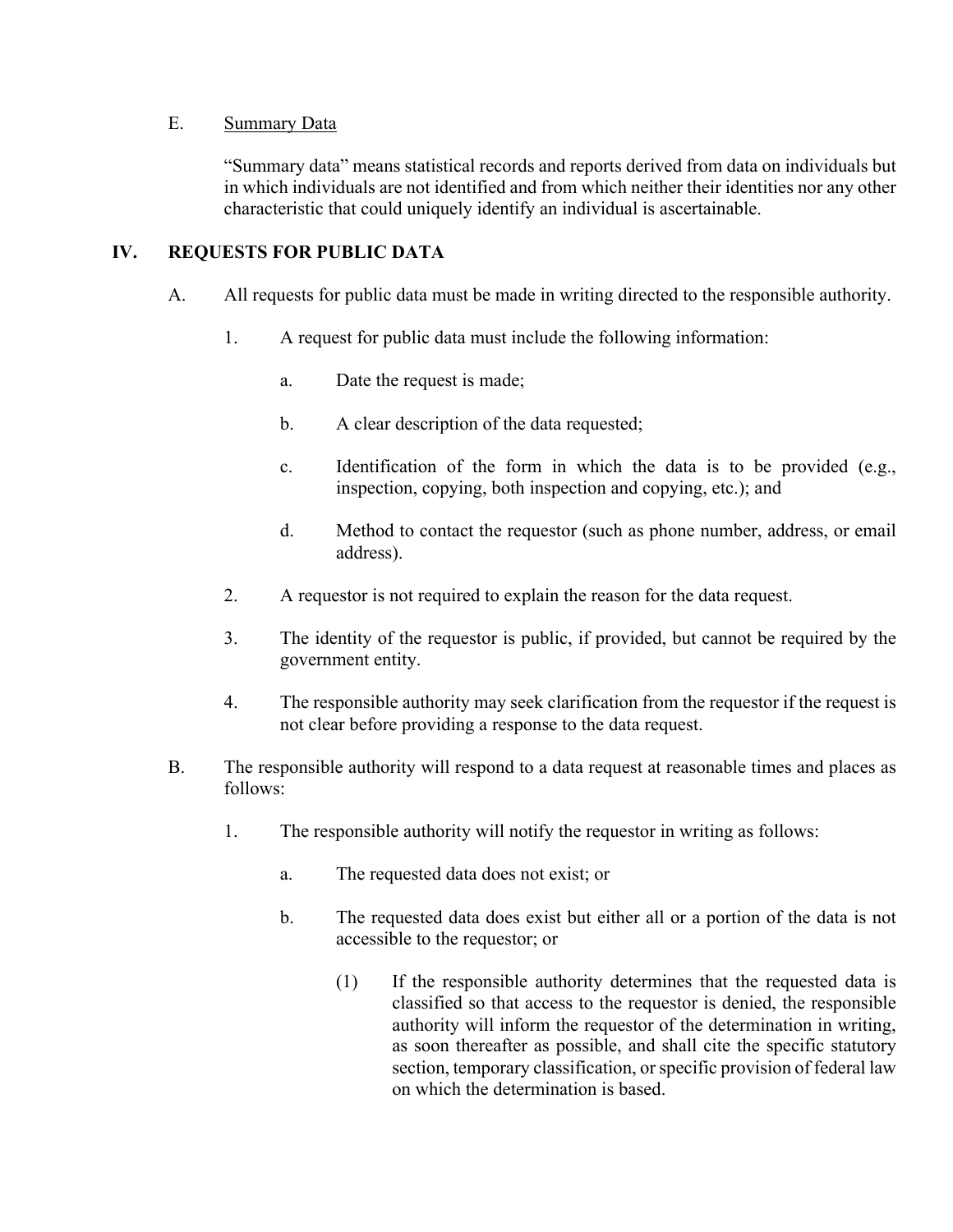# E. Summary Data

"Summary data" means statistical records and reports derived from data on individuals but in which individuals are not identified and from which neither their identities nor any other characteristic that could uniquely identify an individual is ascertainable.

# **IV. REQUESTS FOR PUBLIC DATA**

- A. All requests for public data must be made in writing directed to the responsible authority.
	- 1. A request for public data must include the following information:
		- a. Date the request is made;
		- b. A clear description of the data requested;
		- c. Identification of the form in which the data is to be provided (e.g., inspection, copying, both inspection and copying, etc.); and
		- d. Method to contact the requestor (such as phone number, address, or email address).
	- 2. A requestor is not required to explain the reason for the data request.
	- 3. The identity of the requestor is public, if provided, but cannot be required by the government entity.
	- 4. The responsible authority may seek clarification from the requestor if the request is not clear before providing a response to the data request.
- B. The responsible authority will respond to a data request at reasonable times and places as follows:
	- 1. The responsible authority will notify the requestor in writing as follows:
		- a. The requested data does not exist; or
		- b. The requested data does exist but either all or a portion of the data is not accessible to the requestor; or
			- (1) If the responsible authority determines that the requested data is classified so that access to the requestor is denied, the responsible authority will inform the requestor of the determination in writing, as soon thereafter as possible, and shall cite the specific statutory section, temporary classification, or specific provision of federal law on which the determination is based.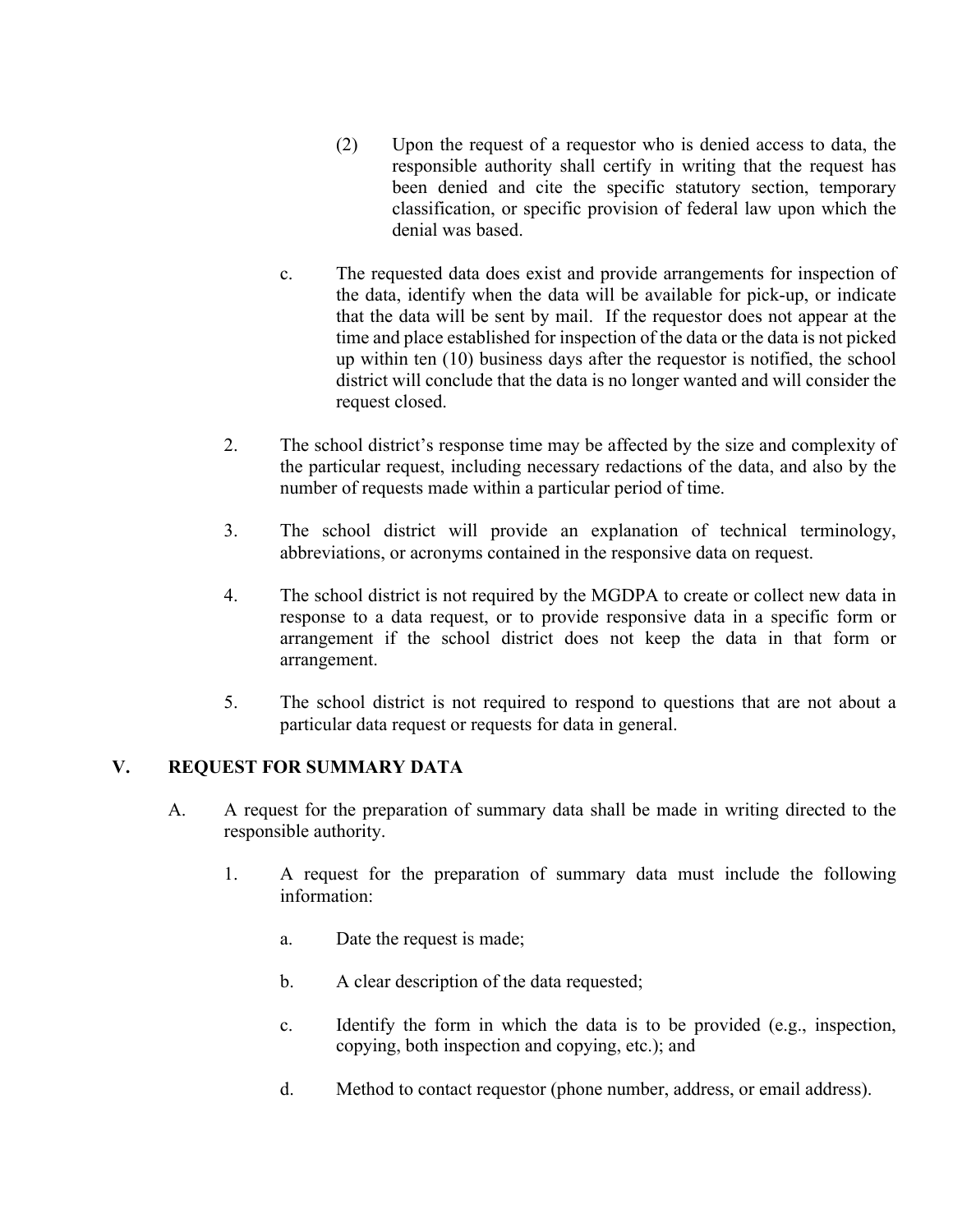- (2) Upon the request of a requestor who is denied access to data, the responsible authority shall certify in writing that the request has been denied and cite the specific statutory section, temporary classification, or specific provision of federal law upon which the denial was based.
- c. The requested data does exist and provide arrangements for inspection of the data, identify when the data will be available for pick-up, or indicate that the data will be sent by mail. If the requestor does not appear at the time and place established for inspection of the data or the data is not picked up within ten (10) business days after the requestor is notified, the school district will conclude that the data is no longer wanted and will consider the request closed.
- 2. The school district's response time may be affected by the size and complexity of the particular request, including necessary redactions of the data, and also by the number of requests made within a particular period of time.
- 3. The school district will provide an explanation of technical terminology, abbreviations, or acronyms contained in the responsive data on request.
- 4. The school district is not required by the MGDPA to create or collect new data in response to a data request, or to provide responsive data in a specific form or arrangement if the school district does not keep the data in that form or arrangement.
- 5. The school district is not required to respond to questions that are not about a particular data request or requests for data in general.

# **V. REQUEST FOR SUMMARY DATA**

- A. A request for the preparation of summary data shall be made in writing directed to the responsible authority.
	- 1. A request for the preparation of summary data must include the following information:
		- a. Date the request is made;
		- b. A clear description of the data requested;
		- c. Identify the form in which the data is to be provided (e.g., inspection, copying, both inspection and copying, etc.); and
		- d. Method to contact requestor (phone number, address, or email address).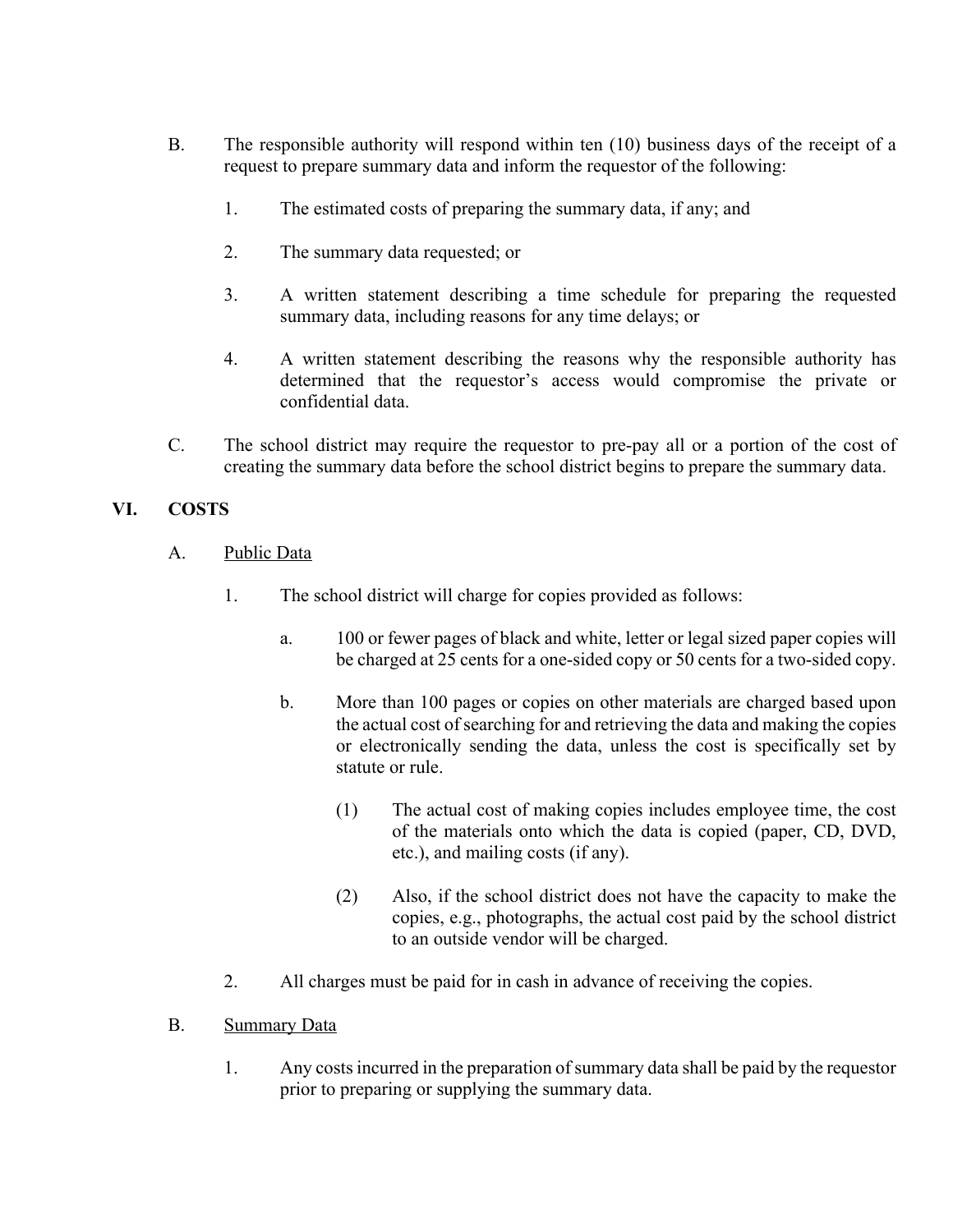- B. The responsible authority will respond within ten (10) business days of the receipt of a request to prepare summary data and inform the requestor of the following:
	- 1. The estimated costs of preparing the summary data, if any; and
	- 2. The summary data requested; or
	- 3. A written statement describing a time schedule for preparing the requested summary data, including reasons for any time delays; or
	- 4. A written statement describing the reasons why the responsible authority has determined that the requestor's access would compromise the private or confidential data.
- C. The school district may require the requestor to pre-pay all or a portion of the cost of creating the summary data before the school district begins to prepare the summary data.

# **VI. COSTS**

- A. Public Data
	- 1. The school district will charge for copies provided as follows:
		- a. 100 or fewer pages of black and white, letter or legal sized paper copies will be charged at 25 cents for a one-sided copy or 50 cents for a two-sided copy.
		- b. More than 100 pages or copies on other materials are charged based upon the actual cost of searching for and retrieving the data and making the copies or electronically sending the data, unless the cost is specifically set by statute or rule.
			- (1) The actual cost of making copies includes employee time, the cost of the materials onto which the data is copied (paper, CD, DVD, etc.), and mailing costs (if any).
			- (2) Also, if the school district does not have the capacity to make the copies, e.g., photographs, the actual cost paid by the school district to an outside vendor will be charged.
	- 2. All charges must be paid for in cash in advance of receiving the copies.
- B. Summary Data
	- 1. Any costs incurred in the preparation of summary data shall be paid by the requestor prior to preparing or supplying the summary data.